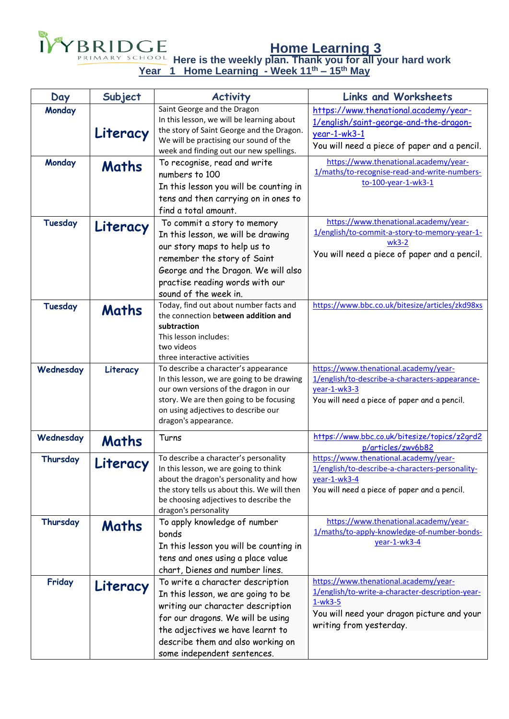

**Home Learning 3**

**Here is the weekly plan. Thank you for all your hard work Year 1 Home Learning - Week 11th – 15th May**

| Day            | Subject  | <b>Activity</b>                                                                                                                                                                                                                                          | <b>Links and Worksheets</b>                                                                                                                                                     |
|----------------|----------|----------------------------------------------------------------------------------------------------------------------------------------------------------------------------------------------------------------------------------------------------------|---------------------------------------------------------------------------------------------------------------------------------------------------------------------------------|
| Monday         | Literacy | Saint George and the Dragon<br>In this lesson, we will be learning about<br>the story of Saint George and the Dragon.<br>We will be practising our sound of the<br>week and finding out our new spellings.                                               | https://www.thenational.academy/year-<br>1/english/saint-george-and-the-dragon-<br>year-1-wk3-1<br>You will need a piece of paper and a pencil.                                 |
| Monday         | Maths    | To recognise, read and write<br>numbers to 100<br>In this lesson you will be counting in<br>tens and then carrying on in ones to<br>find a total amount.                                                                                                 | https://www.thenational.academy/year-<br>1/maths/to-recognise-read-and-write-numbers-<br>to-100-year-1-wk3-1                                                                    |
| Tuesday        | Literacy | To commit a story to memory<br>In this lesson, we will be drawing<br>our story maps to help us to<br>remember the story of Saint<br>George and the Dragon. We will also<br>practise reading words with our<br>sound of the week in.                      | https://www.thenational.academy/year-<br>1/english/to-commit-a-story-to-memory-year-1-<br>$wk3-2$<br>You will need a piece of paper and a pencil.                               |
| <b>Tuesday</b> | Maths    | Today, find out about number facts and<br>the connection between addition and<br>subtraction<br>This lesson includes:<br>two videos<br>three interactive activities                                                                                      | https://www.bbc.co.uk/bitesize/articles/zkd98xs                                                                                                                                 |
| Wednesday      | Literacy | To describe a character's appearance<br>In this lesson, we are going to be drawing<br>our own versions of the dragon in our<br>story. We are then going to be focusing<br>on using adjectives to describe our<br>dragon's appearance.                    | https://www.thenational.academy/year-<br>1/english/to-describe-a-characters-appearance-<br>year-1-wk3-3<br>You will need a piece of paper and a pencil.                         |
| Wednesday      | Maths    | Turns                                                                                                                                                                                                                                                    | https://www.bbc.co.uk/bitesize/topics/z2qrd2<br>p/articles/zwv6b82                                                                                                              |
| Thursday       | Literacy | To describe a character's personality<br>In this lesson, we are going to think<br>about the dragon's personality and how<br>the story tells us about this. We will then<br>be choosing adjectives to describe the<br>dragon's personality                | https://www.thenational.academy/year-<br>1/english/to-describe-a-characters-personality-<br>year-1-wk3-4<br>You will need a piece of paper and a pencil.                        |
| Thursday       | Maths    | To apply knowledge of number<br>bonds<br>In this lesson you will be counting in<br>tens and ones using a place value<br>chart, Dienes and number lines.                                                                                                  | https://www.thenational.academy/year-<br>1/maths/to-apply-knowledge-of-number-bonds-<br>year-1-wk3-4                                                                            |
| Friday         | Literacy | To write a character description<br>In this lesson, we are going to be<br>writing our character description<br>for our dragons. We will be using<br>the adjectives we have learnt to<br>describe them and also working on<br>some independent sentences. | https://www.thenational.academy/year-<br>1/english/to-write-a-character-description-year-<br>$1-wk3-5$<br>You will need your dragon picture and your<br>writing from yesterday. |